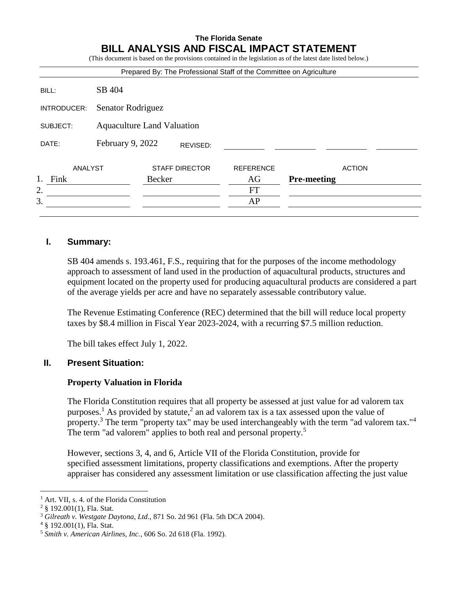## **The Florida Senate BILL ANALYSIS AND FISCAL IMPACT STATEMENT**

(This document is based on the provisions contained in the legislation as of the latest date listed below.) Prepared By: The Professional Staff of the Committee on Agriculture BILL: SB 404 INTRODUCER: Senator Rodriguez SUBJECT: Aquaculture Land Valuation DATE: February 9, 2022 ANALYST STAFF DIRECTOR REFERENCE ACTION 1. Fink Becker AG **Pre-meeting**  $2.$  FT  $3.$  AP REVISED:

#### **I. Summary:**

SB 404 amends s. 193.461, F.S., requiring that for the purposes of the income methodology approach to assessment of land used in the production of aquacultural products, structures and equipment located on the property used for producing aquacultural products are considered a part of the average yields per acre and have no separately assessable contributory value.

The Revenue Estimating Conference (REC) determined that the bill will reduce local property taxes by \$8.4 million in Fiscal Year 2023-2024, with a recurring \$7.5 million reduction.

The bill takes effect July 1, 2022.

# **II. Present Situation:**

## **Property Valuation in Florida**

The Florida Constitution requires that all property be assessed at just value for ad valorem tax purposes.<sup>1</sup> As provided by statute,<sup>2</sup> an ad valorem tax is a tax assessed upon the value of property.<sup>3</sup> The term "property tax" may be used interchangeably with the term "ad valorem tax."<sup>4</sup> The term "ad valorem" applies to both real and personal property.<sup>5</sup>

However, sections 3, 4, and 6, Article VII of the Florida Constitution, provide for specified assessment limitations, property classifications and exemptions. After the property appraiser has considered any assessment limitation or use classification affecting the just value

 $\overline{a}$ 

<sup>&</sup>lt;sup>1</sup> Art. VII, s. 4. of the Florida Constitution

<sup>2</sup> § 192.001(1), Fla. Stat.

<sup>3</sup> *Gilreath v. Westgate Daytona*, *Ltd*., 871 So. 2d 961 (Fla. 5th DCA 2004).

 $4 \text{ }$  § 192.001(1), Fla. Stat.

<sup>5</sup> *Smith v. American Airlines, Inc.*, 606 So. 2d 618 (Fla. 1992).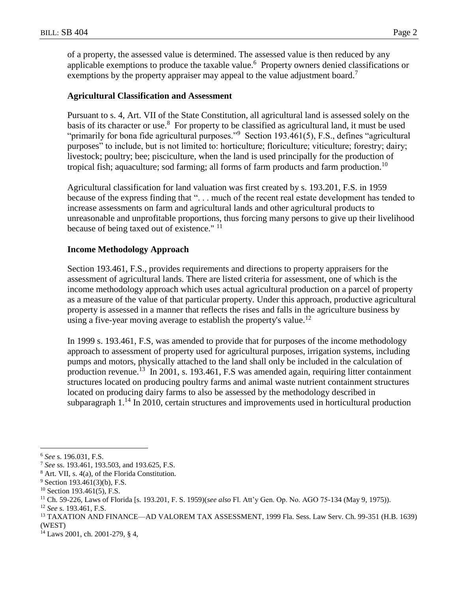of a property, the assessed value is determined. The assessed value is then reduced by any applicable exemptions to produce the taxable value.<sup>6</sup> Property owners denied classifications or exemptions by the property appraiser may appeal to the value adjustment board.<sup>7</sup>

#### **Agricultural Classification and Assessment**

Pursuant to s. 4, Art. VII of the State Constitution, all agricultural land is assessed solely on the basis of its character or use.<sup>8</sup> For property to be classified as agricultural land, it must be used "primarily for bona fide agricultural purposes."<sup>9</sup> Section 193.461(5), F.S., defines "agricultural purposes" to include, but is not limited to: horticulture; floriculture; viticulture; forestry; dairy; livestock; poultry; bee; pisciculture, when the land is used principally for the production of tropical fish; aquaculture; sod farming; all forms of farm products and farm production.<sup>10</sup>

Agricultural classification for land valuation was first created by s. 193.201, F.S. in 1959 because of the express finding that "... much of the recent real estate development has tended to increase assessments on farm and agricultural lands and other agricultural products to unreasonable and unprofitable proportions, thus forcing many persons to give up their livelihood because of being taxed out of existence." <sup>11</sup>

#### **Income Methodology Approach**

Section 193.461, F.S., provides requirements and directions to property appraisers for the assessment of agricultural lands. There are listed criteria for assessment, one of which is the income methodology approach which uses actual agricultural production on a parcel of property as a measure of the value of that particular property. Under this approach, productive agricultural property is assessed in a manner that reflects the rises and falls in the agriculture business by using a five-year moving average to establish the property's value.<sup>12</sup>

In 1999 s. 193.461, F.S, was amended to provide that for purposes of the income methodology approach to assessment of property used for agricultural purposes, irrigation systems, including pumps and motors, physically attached to the land shall only be included in the calculation of production revenue.<sup>13</sup> In 2001, s. 193.461, F.S was amended again, requiring litter containment structures located on producing poultry farms and animal waste nutrient containment structures located on producing dairy farms to also be assessed by the methodology described in subparagraph  $1<sup>14</sup>$  In 2010, certain structures and improvements used in horticultural production

 $\overline{a}$ <sup>6</sup> *See* s. 196.031, F.S.

<sup>7</sup> *See* ss. 193.461, 193.503, and 193.625, F.S.

<sup>8</sup> Art. VII, s. 4(a), of the Florida Constitution.

 $9$  Section 193.461(3)(b), F.S.

 $10$  Section 193.461(5), F.S.

<sup>11</sup> Ch. 59-226, Laws of Florida [s. 193.201, F. S. 1959)(*see also* Fl. Att'y Gen. Op. No. AGO 75-134 (May 9, 1975)).

<sup>12</sup> *See* s. 193.461, F.S.

<sup>13</sup> TAXATION AND FINANCE—AD VALOREM TAX ASSESSMENT, 1999 Fla. Sess. Law Serv. Ch. 99-351 (H.B. 1639) (WEST)

<sup>14</sup> Laws 2001, ch. 2001-279, § 4,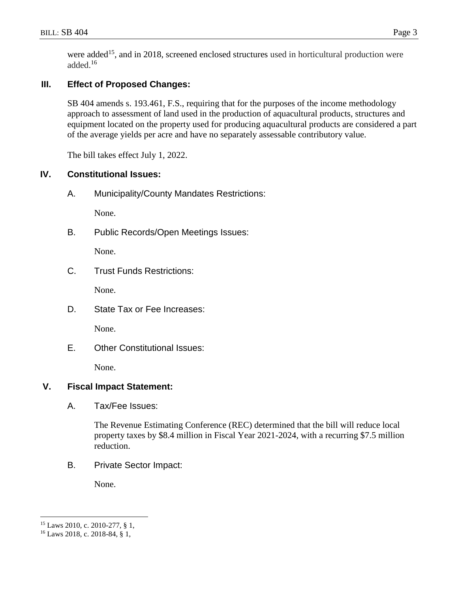were added<sup>15</sup>, and in 2018, screened enclosed structures used in horticultural production were added. 16

# **III. Effect of Proposed Changes:**

SB 404 amends s. 193.461, F.S., requiring that for the purposes of the income methodology approach to assessment of land used in the production of aquacultural products, structures and equipment located on the property used for producing aquacultural products are considered a part of the average yields per acre and have no separately assessable contributory value.

The bill takes effect July 1, 2022.

## **IV. Constitutional Issues:**

A. Municipality/County Mandates Restrictions:

None.

B. Public Records/Open Meetings Issues:

None.

C. Trust Funds Restrictions:

None.

D. State Tax or Fee Increases:

None.

E. Other Constitutional Issues:

None.

## **V. Fiscal Impact Statement:**

A. Tax/Fee Issues:

The Revenue Estimating Conference (REC) determined that the bill will reduce local property taxes by \$8.4 million in Fiscal Year 2021-2024, with a recurring \$7.5 million reduction.

B. Private Sector Impact:

None.

 $\overline{a}$ 

<sup>15</sup> Laws 2010, c. 2010-277, § 1,

<sup>16</sup> Laws 2018, c. 2018-84, § 1,